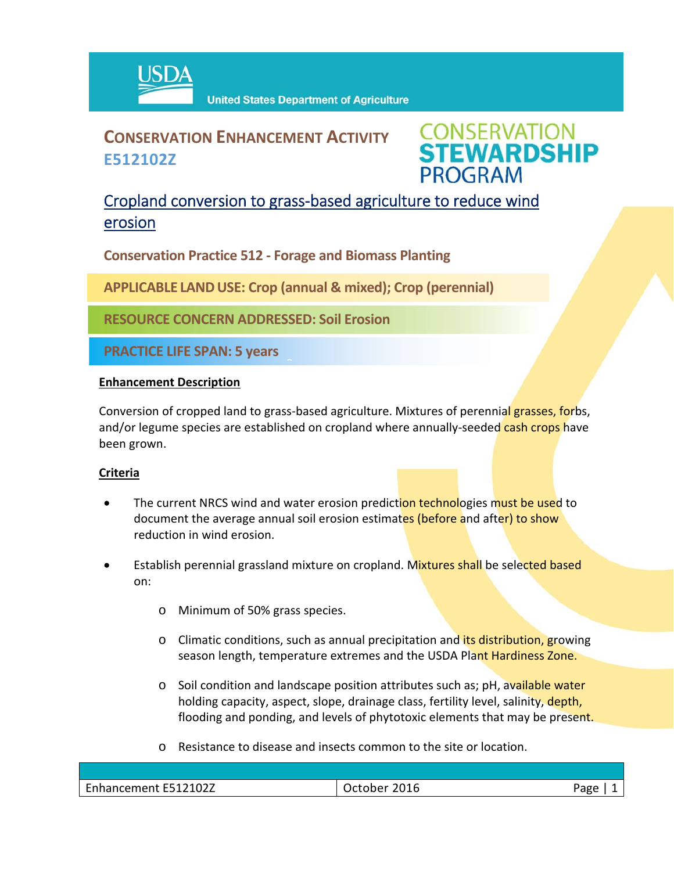

# **CONSERVATION ENHANCEMENT ACTIVITY E512102Z**

**CONSERVATION<br>STEWARDSHIP PROGRAM** 

## Cropland conversion to grass‐based agriculture to reduce wind erosion

**Conservation Practice 512 ‐ Forage and Biomass Planting**

**APPLICABLE LANDUSE: Crop (annual & mixed); Crop (perennial)**

 $\hat{a}$ 

**RESOURCE CONCERN ADDRESSED: Soil Erosion** 

**PRACTICE LIFE SPAN: 5 years**

### **Enhancement Description**

Conversion of cropped land to grass-based agriculture. Mixtures of perennial grasses, forbs, and/or legume species are established on cropland where annually-seeded cash crops have been grown.

### **Criteria**

- The current NRCS wind and water erosion prediction technologies must be used to document the average annual soil erosion estimates (before and after) to show reduction in wind erosion.
- Establish perennial grassland mixture on cropland. Mixtures shall be selected based on:
	- o Minimum of 50% grass species.
	- o Climatic conditions, such as annual precipitation and its distribution, growing season length, temperature extremes and the USDA Plant Hardiness Zone.
	- o Soil condition and landscape position attributes such as; pH, available water holding capacity, aspect, slope, drainage class, fertility level, salinity, depth, flooding and ponding, and levels of phytotoxic elements that may be present.
	- o Resistance to disease and insects common to the site or location.

| E512102Z<br>$\overline{\phantom{0}}$<br>nancement | 2016<br>___ | age |
|---------------------------------------------------|-------------|-----|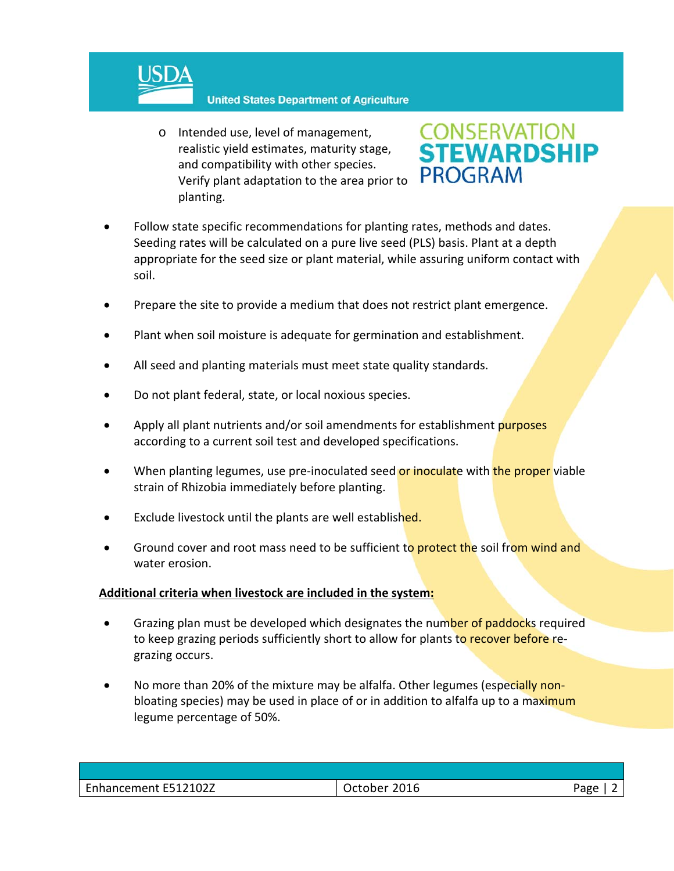

#### **United States Department of Agriculture**

o Intended use, level of management, realistic yield estimates, maturity stage, and compatibility with other species. Verify plant adaptation to the area prior to planting.



- Follow state specific recommendations for planting rates, methods and dates. Seeding rates will be calculated on a pure live seed (PLS) basis. Plant at a depth appropriate for the seed size or plant material, while assuring uniform contact with soil.
- Prepare the site to provide a medium that does not restrict plant emergence.
- Plant when soil moisture is adequate for germination and establishment.
- All seed and planting materials must meet state quality standards.
- Do not plant federal, state, or local noxious species.
- Apply all plant nutrients and/or soil amendments for establishment purposes according to a current soil test and developed specifications.
- When planting legumes, use pre-inoculated seed or inoculate with the proper viable strain of Rhizobia immediately before planting.
- Exclude livestock until the plants are well established.
- Ground cover and root mass need to be sufficient to protect the soil from wind and water erosion.

### **Additional criteria when livestock are included in the system:**

- Grazing plan must be developed which designates the number of paddocks required to keep grazing periods sufficiently short to allow for plants to recover before regrazing occurs.
- No more than 20% of the mixture may be alfalfa. Other legumes (especially nonbloating species) may be used in place of or in addition to alfalfa up to a maximum legume percentage of 50%.

| Enhancement E512102Z | 2016<br><b>October</b> | Page |
|----------------------|------------------------|------|